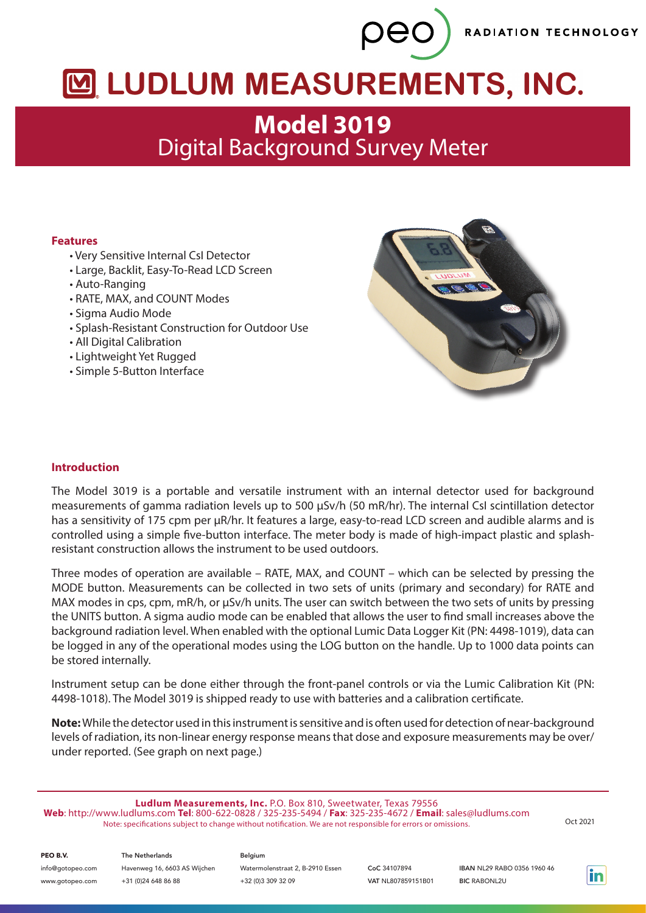RADIATION TECHNOLOGY

# M LUDLUM MEASUREMENTS, INC.

peo

## **Model 3019** Digital Background Survey Meter

#### **Features**

- Very Sensitive Internal CsI Detector
- Large, Backlit, Easy-To-Read LCD Screen
- Auto-Ranging
- RATE, MAX, and COUNT Modes
- Sigma Audio Mode
- Splash-Resistant Construction for Outdoor Use
- All Digital Calibration
- Lightweight Yet Rugged
- Simple 5-Button Interface



#### **Introduction**

The Model 3019 is a portable and versatile instrument with an internal detector used for background measurements of gamma radiation levels up to 500 µSv/h (50 mR/hr). The internal CsI scintillation detector has a sensitivity of 175 cpm per µR/hr. It features a large, easy-to-read LCD screen and audible alarms and is controlled using a simple five-button interface. The meter body is made of high-impact plastic and splashresistant construction allows the instrument to be used outdoors.

Three modes of operation are available – RATE, MAX, and COUNT – which can be selected by pressing the MODE button. Measurements can be collected in two sets of units (primary and secondary) for RATE and MAX modes in cps, cpm, mR/h, or  $\mu$ Sv/h units. The user can switch between the two sets of units by pressing the UNITS button. A sigma audio mode can be enabled that allows the user to find small increases above the background radiation level. When enabled with the optional Lumic Data Logger Kit (PN: 4498-1019), data can be logged in any of the operational modes using the LOG button on the handle. Up to 1000 data points can be stored internally.

Instrument setup can be done either through the front-panel controls or via the Lumic Calibration Kit (PN: 4498-1018). The Model 3019 is shipped ready to use with batteries and a calibration certificate.

**Note:** While the detector used in this instrument is sensitive and is often used for detection of near-background levels of radiation, its non-linear energy response means that dose and exposure measurements may be over/ under reported. (See graph on next page.)

**Ludlum Measurements, Inc.** P.O. Box 810, Sweetwater, Texas 79556 **Web**: http://www.ludlums.com **Tel**: 800-622-0828 / 325-235-5494 / **Fax**: 325-235-4672 / **Email**: sales@ludlums.com Note: specifications subject to change without notification. We are not responsible for errors or omissions. Oct 2021

PEO B.V.

info@gotopeo.com www.gotopeo.com

The Netherlands Havenweg 16, 6603 AS Wijchen +31 (0)24 648 86 88

Belgium Watermolenstraat 2, B-2910 Essen +32 (0)3 309 32 09

CoC 34107894 VAT NL807859151B01